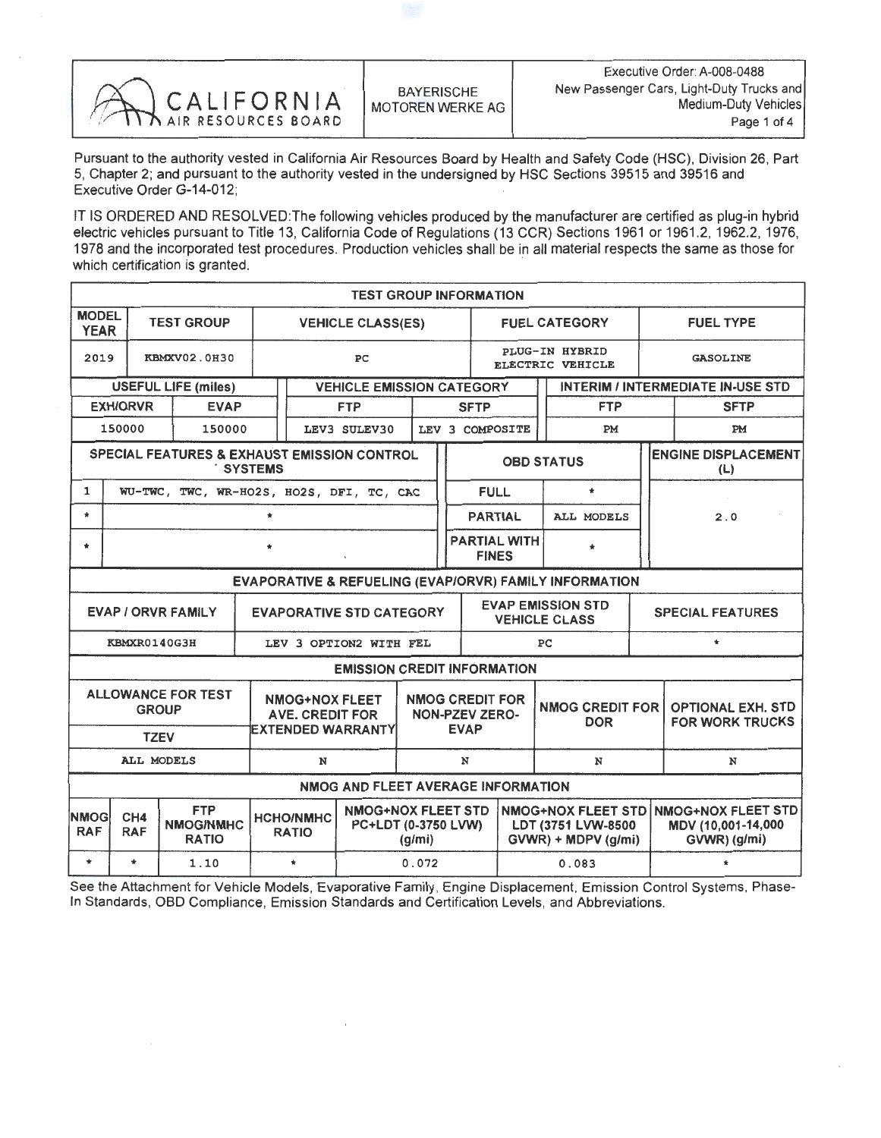| ANCALIFORNIA | <b>BAYERISCHE</b><br>MOTOREN WERKE AG | Executive Order: A-008-0488<br>New Passenger Cars, Light-Duty Trucks and<br>Medium-Duty Vehicle:<br>Page 1 of 4 |
|--------------|---------------------------------------|-----------------------------------------------------------------------------------------------------------------|
|--------------|---------------------------------------|-----------------------------------------------------------------------------------------------------------------|

Pursuant to the authority vested in California Air Resources Board by Health and Safety Code (HSC), Division 26, Part 5, Chapter 2; and pursuant to the authority vested in the undersigned by HSC Sections 39515 and 39516 and Executive Order G-14-012;

IT IS ORDERED AND RESOLVED: The following vehicles produced by the manufacturer are certified as plug-in hybrid<br>electric vehicles pursuant to Title 13, California Code of Regulations (13 CCR) Sections 1961 or 1961.2, 1962. electric vehicles pursuant to Title 13, California Code of Regulations (13 CCR) Sections 1961 or 1961.2, 1962.2, 1976, 1978 and the incorporated test procedures. Production vehicles shall be in all material respects the same as those for which certification is granted.

| <b>TEST GROUP INFORMATION</b>                                                                                                    |                    |                                                        |                                                                                                |                          |                                    |       |   |                                                                                                 |                      |  |                                                        |                                                                 |                  |                                   |  |
|----------------------------------------------------------------------------------------------------------------------------------|--------------------|--------------------------------------------------------|------------------------------------------------------------------------------------------------|--------------------------|------------------------------------|-------|---|-------------------------------------------------------------------------------------------------|----------------------|--|--------------------------------------------------------|-----------------------------------------------------------------|------------------|-----------------------------------|--|
| <b>MODEL</b><br><b>YEAR</b>                                                                                                      |                    | <b>TEST GROUP</b>                                      |                                                                                                | <b>VEHICLE CLASS(ES)</b> |                                    |       |   |                                                                                                 | <b>FUEL CATEGORY</b> |  |                                                        |                                                                 | <b>FUEL TYPE</b> |                                   |  |
| 2019                                                                                                                             | PC<br>KBMXV02.0H30 |                                                        |                                                                                                |                          |                                    |       |   | PLUG-IN HYBRID<br>ELECTRIC VEHICLE                                                              |                      |  |                                                        |                                                                 |                  | <b>GASOLINE</b>                   |  |
|                                                                                                                                  |                    | <b>USEFUL LIFE (miles)</b>                             |                                                                                                |                          | <b>VEHICLE EMISSION CATEGORY</b>   |       |   | <b>INTERIM / INTERMEDIATE IN-USE STD</b>                                                        |                      |  |                                                        |                                                                 |                  |                                   |  |
|                                                                                                                                  | <b>EXH/ORVR</b>    | <b>EVAP</b>                                            |                                                                                                |                          | <b>FTP</b>                         |       |   | <b>FTP</b><br><b>SFTP</b>                                                                       |                      |  |                                                        | <b>SFTP</b>                                                     |                  |                                   |  |
|                                                                                                                                  | 150000             | 150000                                                 |                                                                                                |                          | LEV3 SULEV30                       |       |   | LEV 3 COMPOSITE                                                                                 |                      |  | PM                                                     |                                                                 |                  | PM                                |  |
|                                                                                                                                  |                    | <b>SPECIAL FEATURES &amp; EXHAUST EMISSION CONTROL</b> | <b>SYSTEMS</b>                                                                                 |                          |                                    |       |   |                                                                                                 |                      |  | <b>OBD STATUS</b>                                      |                                                                 |                  | <b>ENGINE DISPLACEMENT</b><br>(L) |  |
| 1                                                                                                                                |                    | WU-TWC, TWC, WR-HO2S, HO2S, DFI, TC, CAC               |                                                                                                |                          |                                    |       |   | FULL.                                                                                           |                      |  | $\star$                                                |                                                                 |                  |                                   |  |
| $\star$                                                                                                                          |                    |                                                        | $\star$                                                                                        |                          |                                    |       |   | <b>PARTIAL</b>                                                                                  |                      |  | <b>ALL MODELS</b>                                      |                                                                 | 2.0              |                                   |  |
| $\star$                                                                                                                          |                    |                                                        |                                                                                                |                          |                                    |       |   | <b>FINES</b>                                                                                    | <b>PARTIAL WITH</b>  |  |                                                        |                                                                 |                  |                                   |  |
|                                                                                                                                  |                    |                                                        |                                                                                                |                          |                                    |       |   |                                                                                                 |                      |  | EVAPORATIVE & REFUELING (EVAP/ORVR) FAMILY INFORMATION |                                                                 |                  |                                   |  |
|                                                                                                                                  |                    | <b>EVAP / ORVR FAMILY</b>                              |                                                                                                |                          | <b>EVAPORATIVE STD CATEGORY</b>    |       |   | <b>EVAP EMISSION STD</b><br><b>VEHICLE CLASS</b>                                                |                      |  | <b>SPECIAL FEATURES</b>                                |                                                                 |                  |                                   |  |
|                                                                                                                                  | KBMXR0140G3H       |                                                        |                                                                                                |                          | LEV 3 OPTION2 WITH FEL             |       |   | PC                                                                                              |                      |  | $\star$                                                |                                                                 |                  |                                   |  |
|                                                                                                                                  |                    |                                                        |                                                                                                |                          | <b>EMISSION CREDIT INFORMATION</b> |       |   |                                                                                                 |                      |  |                                                        |                                                                 |                  |                                   |  |
| <b>ALLOWANCE FOR TEST</b><br><b>NMOG+NOX FLEET</b><br><b>GROUP</b><br><b>AVE. CREDIT FOR</b><br>EXTENDED WARRANTY<br><b>TZEV</b> |                    |                                                        |                                                                                                |                          |                                    |       |   | <b>NMOG CREDIT FOR</b><br><b>NMOG CREDIT FOR</b><br>NON-PZEV ZERO-<br><b>DOR</b><br><b>EVAP</b> |                      |  | <b>OPTIONAL EXH. STD</b><br><b>FOR WORK TRUCKS</b>     |                                                                 |                  |                                   |  |
| ALL MODELS<br>N                                                                                                                  |                    |                                                        |                                                                                                |                          |                                    |       | N |                                                                                                 |                      |  | N                                                      |                                                                 |                  | N                                 |  |
| NMOG AND FLEET AVERAGE INFORMATION                                                                                               |                    |                                                        |                                                                                                |                          |                                    |       |   |                                                                                                 |                      |  |                                                        |                                                                 |                  |                                   |  |
| <b>NMOG</b><br><b>RAF</b>                                                                                                        | CH4<br><b>RAF</b>  | <b>FTP</b><br><b>NMOG/NMHC</b><br><b>RATIO</b>         | <b>NMOG+NOX FLEET STD</b><br><b>HCHO/NMHC</b><br>PC+LDT (0-3750 LVW)<br><b>RATIO</b><br>(g/mi) |                          |                                    |       |   | <b>NMOG+NOX FLEET STD</b><br>LDT (3751 LVW-8500<br>$GVWR$ ) + MDPV (g/mi)                       |                      |  |                                                        | <b>NMOG+NOX FLEET STD</b><br>MDV (10.001-14.000<br>GVWR) (g/mi) |                  |                                   |  |
| $\star$                                                                                                                          | $\star$            | 1.10                                                   |                                                                                                | $\star$                  |                                    | 0.072 |   |                                                                                                 | 0.083                |  |                                                        |                                                                 |                  |                                   |  |

See the Attachment for Vehicle Models, Evaporative Family, Engine Displacement, Emission Control Systems, Phase-In Standards, OBD Compliance, Emission Standards and Certification Levels, and Abbreviations.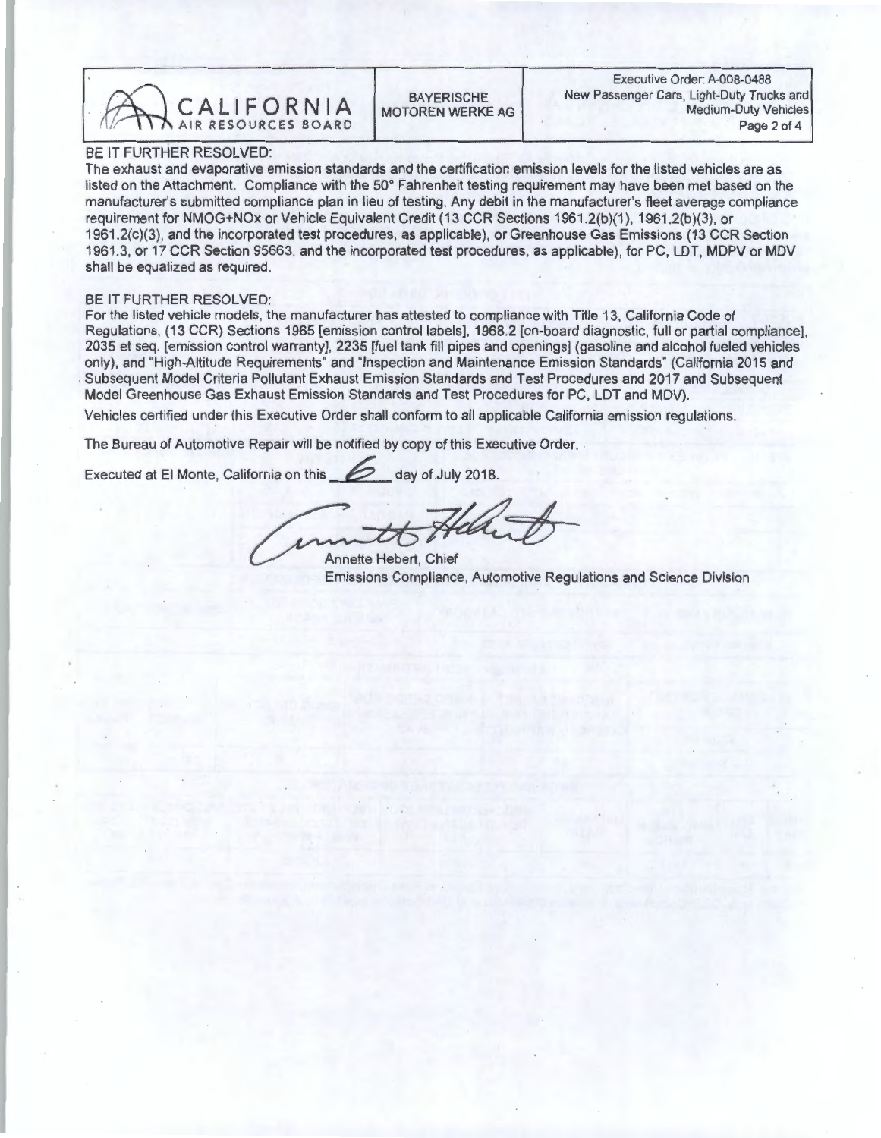MEDITION AND A AIR RESOURCES BOARD MOTOREN WERKE AG Medium-Duty Vehicles

## BE IT FURTHER RESOLVED:

The exhaust and evaporative emission standards and the certification emission levels for the listed vehicles are as listed on the Attachment. Compliance with the 50° Fahrenheit testing requirement may have been met based on the manufacturer's submitted compliance plan in lieu of testing. Any debit in the manufacturer's fleet average compliance<br>requirement for NMOG+NOx or Vehicle Equivalent Credit (13 CCR Sections 1961.2(b)(1), 1961.2(b)(3), or requirement for NMOG+NOx or Vehicle Equivalent Credit (13 CCR Sections 1961.2(b)(1), 1961.2(b)(3), or  $1961.2(c)(3)$ , and the incorporated test procedures, as applicable), or Greenhouse Gas Emissions (13 CCR Section 1961.3, or 17 CCR Section 95663, and the incorporated test procedures, as applicable), for PC, LDT, MDPV or MDV shall be equalized as required.

## BE IT FURTHER RESOLVED:

For the listed vehicle models, the manufacturer has attested to compliance with Title 13, California Code of Regulations, (13 CCR) Sections 1965 [emission control labels], 1968.2 [on-board diagnostic, full or partial compliance], 2035 et seq. [emission control warranty], 2235 [fuel tank fill pipes and openings] (gasoline and alcohol fueled vehicles only), and "High-Altitude Requirements" and "Inspection and Maintenance Emission Standards" (California 2015 and Subsequent Model Criteria Pollutant Exhaust Emission Standards and Test Procedures and 2017 and Subsequent Model Greenhouse Gas Exhaust Emission Standards and Test Procedures for PC, LDT and MDV).

Vehicles certified under this Executive Order shall conform to all applicable California emission regulations.

The Bureau of Automotive Repair will be notified by copy of this Executive Order.

Executed at El Monte, California on this  $2018$ .

Annette Hebert, Chief Emissions Compliance, Automotive Regulations and Science Division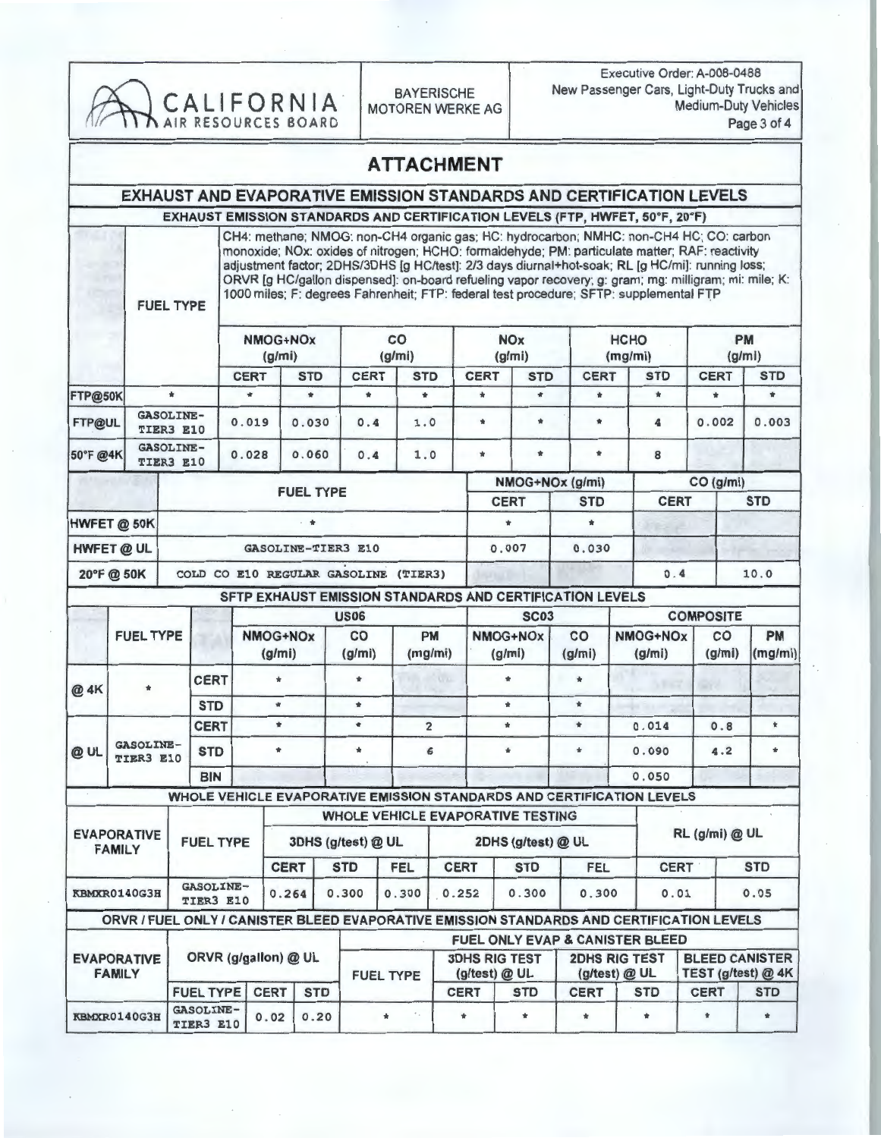| CALIFORNIA <sup>T</sup>          |                                     |                               |                          |                              |                    |                       |                        | <b>BAYERISCHE</b><br><b>MOTOREN WERKE AG</b> |               |                |                                          | Executive Order: A-008-0488<br>New Passenger Cars, Light-Duty Trucks and<br><b>Medium-Duty Vehicles</b><br>Page 3 of 4                                                                                                                                                                                                                                                                                                                                                                          |             |                    |                    |                                             |     |  |
|----------------------------------|-------------------------------------|-------------------------------|--------------------------|------------------------------|--------------------|-----------------------|------------------------|----------------------------------------------|---------------|----------------|------------------------------------------|-------------------------------------------------------------------------------------------------------------------------------------------------------------------------------------------------------------------------------------------------------------------------------------------------------------------------------------------------------------------------------------------------------------------------------------------------------------------------------------------------|-------------|--------------------|--------------------|---------------------------------------------|-----|--|
|                                  |                                     |                               |                          |                              |                    |                       |                        | <b>ATTACHMENT</b>                            |               |                |                                          |                                                                                                                                                                                                                                                                                                                                                                                                                                                                                                 |             |                    |                    |                                             |     |  |
|                                  |                                     |                               |                          |                              |                    |                       |                        |                                              |               |                |                                          | <b>EXHAUST AND EVAPORATIVE EMISSION STANDARDS AND CERTIFICATION LEVELS</b>                                                                                                                                                                                                                                                                                                                                                                                                                      |             |                    |                    |                                             |     |  |
|                                  |                                     |                               |                          |                              |                    |                       |                        |                                              |               |                |                                          | EXHAUST EMISSION STANDARDS AND CERTIFICATION LEVELS (FTP, HWFET, 50°F, 20°F)                                                                                                                                                                                                                                                                                                                                                                                                                    |             |                    |                    |                                             |     |  |
|                                  |                                     |                               | <b>FUEL TYPE</b>         |                              |                    |                       |                        |                                              |               |                |                                          | CH4: methane; NMOG: non-CH4 organic gas; HC: hydrocarbon; NMHC: non-CH4 HC; CO: carbon<br>monoxide; NOx: oxides of nitrogen; HCHO: formaldehyde; PM: particulate matter; RAF: reactivity<br>adjustment factor; 2DHS/3DHS [g HC/test]: 2/3 days diurnal+hot-soak; RL [g HC/mi]: running loss;<br>ORVR [g HC/gallon dispensed]: on-board refueling vapor recovery; g: gram; mg: milligram; mi: mile; K:<br>1000 miles; F: degrees Fahrenheit; FTP: federal test procedure; SFTP: supplemental FTP |             |                    |                    |                                             |     |  |
|                                  |                                     |                               |                          |                              | NMOG+NOx<br>(g/mi) |                       |                        | CO                                           |               |                | <b>NOx</b>                               |                                                                                                                                                                                                                                                                                                                                                                                                                                                                                                 | <b>HCHO</b> |                    |                    | <b>PM</b>                                   |     |  |
|                                  |                                     |                               |                          |                              |                    |                       |                        | (g/mi)<br><b>STD</b>                         |               | <b>CERT</b>    | (g/mi)                                   | <b>CERT</b>                                                                                                                                                                                                                                                                                                                                                                                                                                                                                     | (mg/mi)     | <b>STD</b>         | <b>CERT</b>        | (g/mi)                                      |     |  |
| FTP@50K                          |                                     | $\star$                       |                          | <b>CERT</b><br>$\frac{1}{2}$ |                    | <b>STD</b><br>$\star$ | <b>CERT</b><br>$\star$ | ٠                                            |               | $\frac{1}{2}$  | <b>STD</b><br>$\star$                    | $\frac{1}{N}$                                                                                                                                                                                                                                                                                                                                                                                                                                                                                   |             | $\star$            | $\frac{1}{24}$     | <b>STD</b><br>$\bullet$                     |     |  |
| FTP@UL                           |                                     | <b>GASOLINE-</b><br>TIER3 E10 |                          | 0.019                        |                    | 0.030                 | 0.4                    | 1.0                                          |               | $\star$        | $\star$                                  | $\pmb{\ast}$                                                                                                                                                                                                                                                                                                                                                                                                                                                                                    |             | 4                  | 0.002              | 0.003                                       |     |  |
| 50°F @4K                         |                                     | <b>GASOLINE-</b><br>TIER3 E10 |                          | 0.028                        |                    | 0.060                 | 0.4                    | 1.0                                          |               | $\ast$         | $\pmb{\ast}$                             | $\blacksquare$                                                                                                                                                                                                                                                                                                                                                                                                                                                                                  | 8           |                    |                    |                                             |     |  |
|                                  |                                     |                               |                          |                              |                    |                       |                        |                                              |               |                |                                          | NMOG+NOx (g/mi)                                                                                                                                                                                                                                                                                                                                                                                                                                                                                 |             |                    | CO (g/mi)          |                                             |     |  |
| <b>FUEL TYPE</b>                 |                                     |                               |                          |                              |                    |                       |                        | <b>CERT</b>                                  |               | <b>STD</b>     |                                          | <b>CERT</b>                                                                                                                                                                                                                                                                                                                                                                                                                                                                                     |             | <b>STD</b>         |                    |                                             |     |  |
|                                  | HWFET @ 50K                         |                               |                          |                              |                    | - 全                   |                        |                                              |               | $\bullet$      | $\star$                                  |                                                                                                                                                                                                                                                                                                                                                                                                                                                                                                 |             |                    |                    |                                             |     |  |
| HWFET @ UL<br>GASOLINE-TIER3 E10 |                                     |                               |                          |                              |                    |                       | 0.007                  |                                              |               | 0.030          |                                          |                                                                                                                                                                                                                                                                                                                                                                                                                                                                                                 |             |                    |                    |                                             |     |  |
|                                  | 20°F@50K                            |                               |                          |                              |                    |                       |                        | COLD CO E10 REGULAR GASOLINE (TIER3)         |               |                |                                          |                                                                                                                                                                                                                                                                                                                                                                                                                                                                                                 |             | 0.4                |                    | 10.0                                        |     |  |
|                                  |                                     |                               |                          |                              |                    |                       |                        |                                              |               |                |                                          | SFTP EXHAUST EMISSION STANDARDS AND CERTIFICATION LEVELS                                                                                                                                                                                                                                                                                                                                                                                                                                        |             |                    |                    |                                             |     |  |
|                                  |                                     |                               |                          |                              |                    |                       | <b>US06</b>            |                                              |               |                | <b>SC03</b>                              |                                                                                                                                                                                                                                                                                                                                                                                                                                                                                                 |             |                    | <b>COMPOSITE</b>   |                                             |     |  |
|                                  | <b>FUEL TYPE</b>                    |                               |                          |                              | NMOG+NOx<br>(g/mi) |                       | co<br>(g/mi)           |                                              | PM<br>(mg/mi) |                | NMOG+NOx<br>(g/mi)                       | co<br>(g/mi)                                                                                                                                                                                                                                                                                                                                                                                                                                                                                    |             | NMOG+NOx<br>(g/mi) | CO<br>(g/mi)       | PM<br>(mg/mi)                               |     |  |
| @ 4K                             |                                     |                               | <b>CERT</b>              |                              | $\frac{1}{24}$     |                       | $\star$                |                                              | U.A.          |                | ÷                                        | $\star$                                                                                                                                                                                                                                                                                                                                                                                                                                                                                         |             |                    |                    |                                             |     |  |
|                                  |                                     | <b>STD</b>                    |                          |                              | $\star$<br>$\star$ |                       | $\star$<br>$\bullet$   |                                              |               |                | $\star$<br>$\frac{1}{2}$                 | $\star$<br>$\blacksquare$                                                                                                                                                                                                                                                                                                                                                                                                                                                                       |             |                    |                    | $\ast$                                      |     |  |
|                                  |                                     |                               |                          | GASOLINE-                    |                    | <b>CERT</b>           |                        |                                              |               | $\overline{2}$ |                                          |                                                                                                                                                                                                                                                                                                                                                                                                                                                                                                 | $\bullet$   |                    | 0.014              |                                             | 0.8 |  |
| @ UL                             | TIER3 E10                           |                               | <b>STD</b><br><b>BIN</b> |                              | ŵ.                 |                       | $\frac{1}{24}$         |                                              | 6             |                |                                          |                                                                                                                                                                                                                                                                                                                                                                                                                                                                                                 | ÷<br>0.090  |                    | 4.2                | ٠                                           |     |  |
|                                  |                                     |                               |                          |                              |                    |                       |                        |                                              |               |                |                                          | WHOLE VEHICLE EVAPORATIVE EMISSION STANDARDS AND CERTIFICATION LEVELS                                                                                                                                                                                                                                                                                                                                                                                                                           |             | 0.050              |                    |                                             |     |  |
|                                  |                                     |                               |                          |                              |                    |                       |                        |                                              |               |                | <b>WHOLE VEHICLE EVAPORATIVE TESTING</b> |                                                                                                                                                                                                                                                                                                                                                                                                                                                                                                 |             |                    |                    |                                             |     |  |
|                                  | <b>EVAPORATIVE</b><br><b>FAMILY</b> |                               | <b>FUEL TYPE</b>         |                              |                    | 3DHS (g/test) @ UL    |                        |                                              |               |                |                                          | 2DHS (g/test) @ UL                                                                                                                                                                                                                                                                                                                                                                                                                                                                              |             |                    | RL (g/mi) @ UL     |                                             |     |  |
|                                  |                                     |                               |                          |                              | <b>CERT</b>        |                       | <b>STD</b>             | <b>FEL</b>                                   | <b>CERT</b>   | <b>STD</b>     |                                          | <b>FEL</b>                                                                                                                                                                                                                                                                                                                                                                                                                                                                                      |             | <b>CERT</b>        |                    | <b>STD</b>                                  |     |  |
|                                  | KBMXR0140G3H                        |                               | GASOLINE-<br>TIER3 E10   |                              | 0.264              |                       | 0.300                  | 0.300                                        | 0.252         |                | 0.300                                    | 0.300<br>0.01<br>0.05                                                                                                                                                                                                                                                                                                                                                                                                                                                                           |             |                    |                    |                                             |     |  |
|                                  |                                     |                               |                          |                              |                    |                       |                        |                                              |               |                |                                          | ORVR / FUEL ONLY / CANISTER BLEED EVAPORATIVE EMISSION STANDARDS AND CERTIFICATION LEVELS                                                                                                                                                                                                                                                                                                                                                                                                       |             |                    |                    |                                             |     |  |
|                                  | <b>EVAPORATIVE</b><br><b>FAMILY</b> |                               |                          | ORVR (g/gallon) @ UL         |                    |                       |                        |                                              |               |                | <b>3DHS RIG TEST</b>                     | <b>FUEL ONLY EVAP &amp; CANISTER BLEED</b><br><b>2DHS RIG TEST</b>                                                                                                                                                                                                                                                                                                                                                                                                                              |             |                    |                    | <b>BLEED CANISTER</b><br>TEST (g/test) @ 4K |     |  |
|                                  |                                     |                               | <b>FUEL TYPE</b>         |                              | <b>CERT</b>        | <b>STD</b>            |                        | <b>FUEL TYPE</b><br><b>CERT</b>              |               |                | (g/test) @ UL<br><b>STD</b>              | (g/test) @ UL<br><b>CERT</b>                                                                                                                                                                                                                                                                                                                                                                                                                                                                    |             | <b>STD</b>         | <b>CERT</b>        | <b>STD</b>                                  |     |  |
|                                  | KBMXR0140G3H                        |                               | GASOLINE-<br>TIER3 E10   |                              | 0.02               | 0.20                  |                        | $\star$                                      | $\pmb{\ast}$  |                | ŵ.                                       | ŵ.                                                                                                                                                                                                                                                                                                                                                                                                                                                                                              |             | ₩                  | $\dot{\mathbf{R}}$ | $\dot{\mathbf{R}}$                          |     |  |